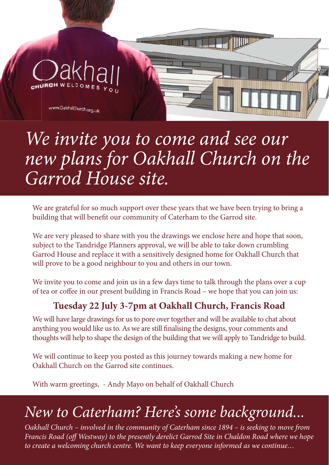# www.OakhallChurch.org.uk *We invite you to come and see our new plans for Oakhall Church on the Garrod House site.*

We are grateful for so much support over these years that we have been trying to bring a building that will benefit our community of Caterham to the Garrod site.

We are very pleased to share with you the drawings we enclose here and hope that soon, subject to the Tandridge Planners approval, we will be able to take down crumbling Garrod House and replace it with a sensitively designed home for Oakhall Church that will prove to be a good neighbour to you and others in our town.

We invite you to come and join us in a few days time to talk through the plans over a cup of tea or coffee in our present building in Francis Road – we hope that you can join us:

#### **Tuesday 22 July 3-7pm at Oakhall Church, Francis Road**

We will have large drawings for us to pore over together and will be available to chat about anything you would like us to. As we are still finalising the designs, your comments and thoughts will help to shape the design of the building that we will apply to Tandridge to build.

We will continue to keep you posted as this journey towards making a new home for Oakhall Church on the Garrod site continues.

With warm greetings, - Andy Mayo on behalf of Oakhall Church

### *New to Caterham? Here's some background...*

*Oakhall Church – involved in the community of Caterham since 1894 – is seeking to move from Francis Road (off Westway) to the presently derelict Garrod Site in Chaldon Road where we hope to create a welcoming church centre. We want to keep everyone informed as we continue…*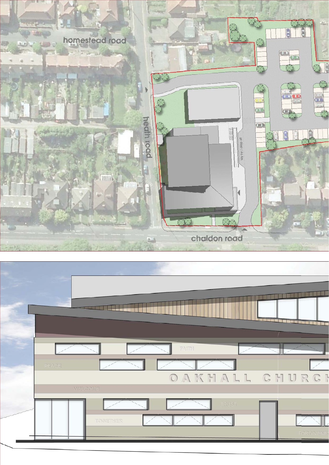

|                              | $\sim$            |
|------------------------------|-------------------|
| $\ensuremath{\mathsf{FATH}}$ |                   |
| PEACE<br>OAKHALL CHURCI      |                   |
| WELCOME                      |                   |
| TRUST<br>TOGETHER            | <b>FORGIVENES</b> |
|                              |                   |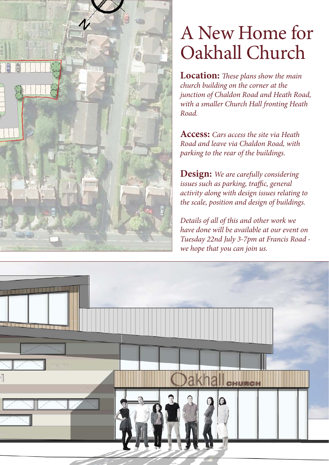

## A New Home for Oakhall Church

**Location:** *These plans show the main church building on the corner at the junction of Chaldon Road and Heath Road, with a smaller Church Hall fronting Heath Road.*

**Access:** *Cars access the site via Heath Road and leave via Chaldon Road, with parking to the rear of the buildings.*

**Design:** *We are carefully considering issues such as parking, traffic, general activity along with design issues relating to the scale, position and design of buildings.* 

*Details of all of this and other work we have done will be available at our event on Tuesday 22nd July 3-7pm at Francis Road we hope that you can join us.*